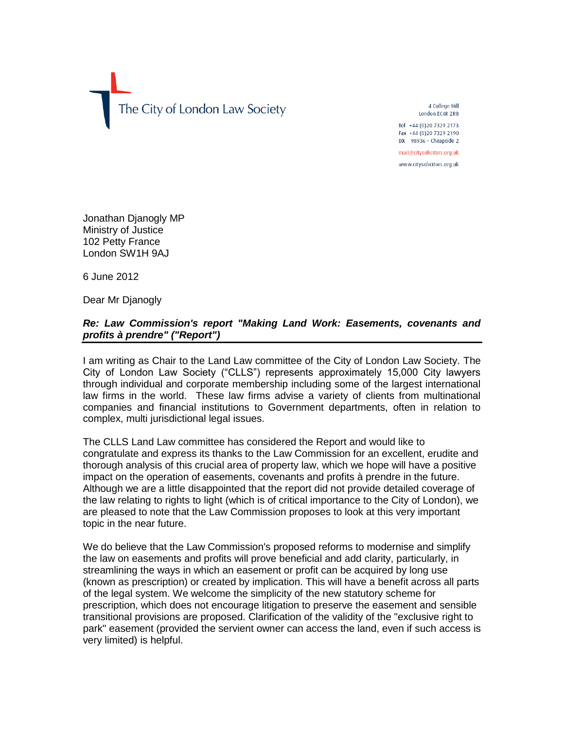The City of London Law Society

4 College Hill London EC4R 2RB Tel +44 (0) 20 7329 2173

Fax +44 (0)20 7329 2190 DX 98936 - Cheapside 2 mail@citysolicitors.org.uk

www.citysolicitors.org.uk

Jonathan Djanogly MP Ministry of Justice 102 Petty France London SW1H 9AJ

6 June 2012

Dear Mr Djanogly

## *Re: Law Commission's report "Making Land Work: Easements, covenants and profits à prendre" ("Report")*

I am writing as Chair to the Land Law committee of the City of London Law Society. The City of London Law Society ("CLLS") represents approximately 15,000 City lawyers through individual and corporate membership including some of the largest international law firms in the world. These law firms advise a variety of clients from multinational companies and financial institutions to Government departments, often in relation to complex, multi jurisdictional legal issues.

The CLLS Land Law committee has considered the Report and would like to congratulate and express its thanks to the Law Commission for an excellent, erudite and thorough analysis of this crucial area of property law, which we hope will have a positive impact on the operation of easements, covenants and profits à prendre in the future. Although we are a little disappointed that the report did not provide detailed coverage of the law relating to rights to light (which is of critical importance to the City of London), we are pleased to note that the Law Commission proposes to look at this very important topic in the near future.

We do believe that the Law Commission's proposed reforms to modernise and simplify the law on easements and profits will prove beneficial and add clarity, particularly, in streamlining the ways in which an easement or profit can be acquired by long use (known as prescription) or created by implication. This will have a benefit across all parts of the legal system. We welcome the simplicity of the new statutory scheme for prescription, which does not encourage litigation to preserve the easement and sensible transitional provisions are proposed. Clarification of the validity of the "exclusive right to park" easement (provided the servient owner can access the land, even if such access is very limited) is helpful.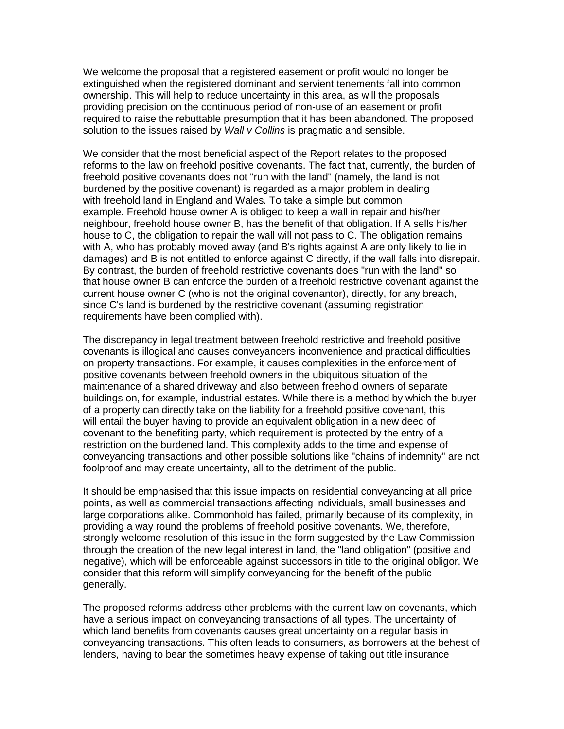We welcome the proposal that a registered easement or profit would no longer be extinguished when the registered dominant and servient tenements fall into common ownership. This will help to reduce uncertainty in this area, as will the proposals providing precision on the continuous period of non-use of an easement or profit required to raise the rebuttable presumption that it has been abandoned. The proposed solution to the issues raised by *Wall v Collins* is pragmatic and sensible.

We consider that the most beneficial aspect of the Report relates to the proposed reforms to the law on freehold positive covenants. The fact that, currently, the burden of freehold positive covenants does not "run with the land" (namely, the land is not burdened by the positive covenant) is regarded as a major problem in dealing with freehold land in England and Wales. To take a simple but common example. Freehold house owner A is obliged to keep a wall in repair and his/her neighbour, freehold house owner B, has the benefit of that obligation. If A sells his/her house to C, the obligation to repair the wall will not pass to C. The obligation remains with A, who has probably moved away (and B's rights against A are only likely to lie in damages) and B is not entitled to enforce against C directly, if the wall falls into disrepair. By contrast, the burden of freehold restrictive covenants does "run with the land" so that house owner B can enforce the burden of a freehold restrictive covenant against the current house owner C (who is not the original covenantor), directly, for any breach, since C's land is burdened by the restrictive covenant (assuming registration requirements have been complied with).

The discrepancy in legal treatment between freehold restrictive and freehold positive covenants is illogical and causes conveyancers inconvenience and practical difficulties on property transactions. For example, it causes complexities in the enforcement of positive covenants between freehold owners in the ubiquitous situation of the maintenance of a shared driveway and also between freehold owners of separate buildings on, for example, industrial estates. While there is a method by which the buyer of a property can directly take on the liability for a freehold positive covenant, this will entail the buyer having to provide an equivalent obligation in a new deed of covenant to the benefiting party, which requirement is protected by the entry of a restriction on the burdened land. This complexity adds to the time and expense of conveyancing transactions and other possible solutions like "chains of indemnity" are not foolproof and may create uncertainty, all to the detriment of the public.

It should be emphasised that this issue impacts on residential conveyancing at all price points, as well as commercial transactions affecting individuals, small businesses and large corporations alike. Commonhold has failed, primarily because of its complexity, in providing a way round the problems of freehold positive covenants. We, therefore, strongly welcome resolution of this issue in the form suggested by the Law Commission through the creation of the new legal interest in land, the "land obligation" (positive and negative), which will be enforceable against successors in title to the original obligor. We consider that this reform will simplify conveyancing for the benefit of the public generally.

The proposed reforms address other problems with the current law on covenants, which have a serious impact on conveyancing transactions of all types. The uncertainty of which land benefits from covenants causes great uncertainty on a regular basis in conveyancing transactions. This often leads to consumers, as borrowers at the behest of lenders, having to bear the sometimes heavy expense of taking out title insurance